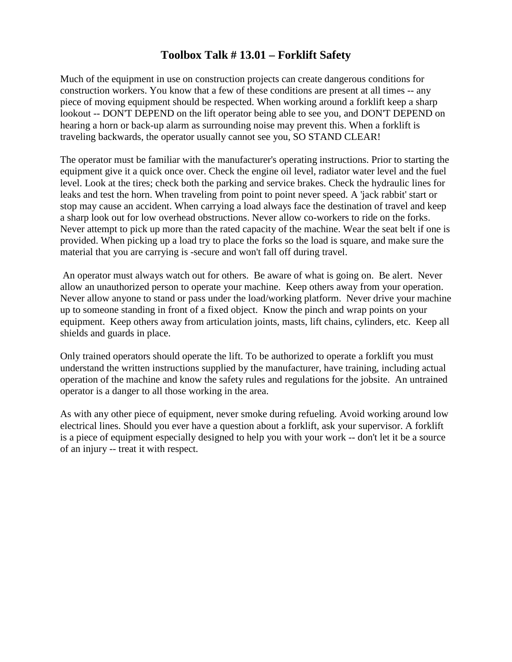## **Toolbox Talk # 13.01 – Forklift Safety**

Much of the equipment in use on construction projects can create dangerous conditions for construction workers. You know that a few of these conditions are present at all times -- any piece of moving equipment should be respected. When working around a forklift keep a sharp lookout -- DON'T DEPEND on the lift operator being able to see you, and DON'T DEPEND on hearing a horn or back-up alarm as surrounding noise may prevent this. When a forklift is traveling backwards, the operator usually cannot see you, SO STAND CLEAR!

The operator must be familiar with the manufacturer's operating instructions. Prior to starting the equipment give it a quick once over. Check the engine oil level, radiator water level and the fuel level. Look at the tires; check both the parking and service brakes. Check the hydraulic lines for leaks and test the horn. When traveling from point to point never speed. A 'jack rabbit' start or stop may cause an accident. When carrying a load always face the destination of travel and keep a sharp look out for low overhead obstructions. Never allow co-workers to ride on the forks. Never attempt to pick up more than the rated capacity of the machine. Wear the seat belt if one is provided. When picking up a load try to place the forks so the load is square, and make sure the material that you are carrying is -secure and won't fall off during travel.

An operator must always watch out for others. Be aware of what is going on. Be alert. Never allow an unauthorized person to operate your machine. Keep others away from your operation. Never allow anyone to stand or pass under the load/working platform. Never drive your machine up to someone standing in front of a fixed object. Know the pinch and wrap points on your equipment. Keep others away from articulation joints, masts, lift chains, cylinders, etc. Keep all shields and guards in place.

Only trained operators should operate the lift. To be authorized to operate a forklift you must understand the written instructions supplied by the manufacturer, have training, including actual operation of the machine and know the safety rules and regulations for the jobsite. An untrained operator is a danger to all those working in the area.

As with any other piece of equipment, never smoke during refueling. Avoid working around low electrical lines. Should you ever have a question about a forklift, ask your supervisor. A forklift is a piece of equipment especially designed to help you with your work -- don't let it be a source of an injury -- treat it with respect.